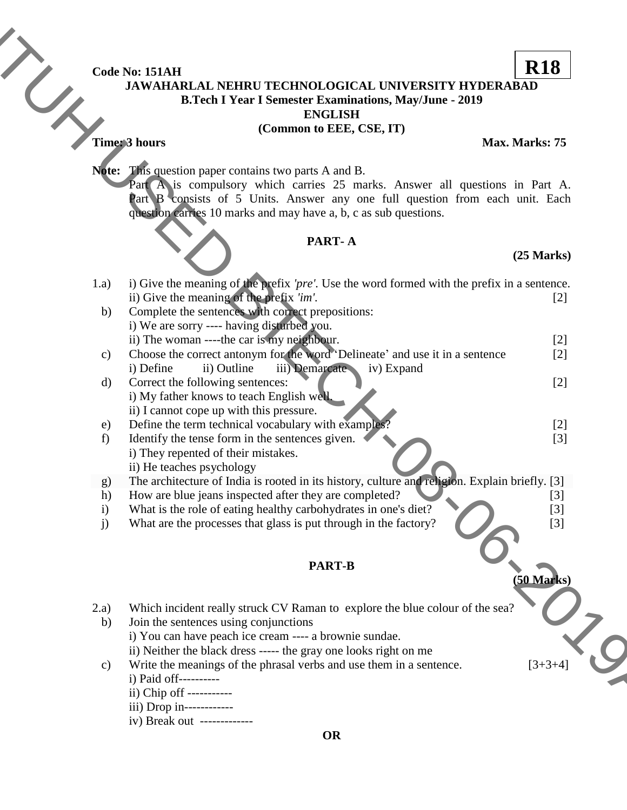# Code No: 151AH<br>JAWAHAF **JAWAHARLAL NEHRU TECHNOLOGICAL UNIVERSITY HYDERABAD B.Tech I Year I Semester Examinations, May/June - 2019**

### **(Common to EEE, CSE, IT)**

# **PART- A**

## **(25 Marks)**

|                    | Code No: 151AH                                                                                                                                                                                                                                                                                    | <b>R18</b>           |
|--------------------|---------------------------------------------------------------------------------------------------------------------------------------------------------------------------------------------------------------------------------------------------------------------------------------------------|----------------------|
|                    | <b>JAWAHARLAL NEHRU TECHNOLOGICAL UNIVERSITY HYDERABAD</b><br><b>B.Tech I Year I Semester Examinations, May/June - 2019</b><br><b>ENGLISH</b>                                                                                                                                                     |                      |
|                    | (Common to EEE, CSE, IT)                                                                                                                                                                                                                                                                          |                      |
|                    | Time: 3 hours                                                                                                                                                                                                                                                                                     | Max. Marks: 75       |
|                    |                                                                                                                                                                                                                                                                                                   |                      |
|                    | <b>Note:</b> This question paper contains two parts A and B.<br>Part A is compulsory which carries 25 marks. Answer all questions in Part A.<br>Part B consists of 5 Units. Answer any one full question from each unit. Each<br>question carries 10 marks and may have a, b, c as sub questions. |                      |
|                    | PART-A                                                                                                                                                                                                                                                                                            |                      |
|                    |                                                                                                                                                                                                                                                                                                   | $(25$ Marks $)$      |
| 1.a)               | i) Give the meaning of the prefix 'pre'. Use the word formed with the prefix in a sentence.                                                                                                                                                                                                       |                      |
|                    | ii) Give the meaning of the prefix 'im'.                                                                                                                                                                                                                                                          | $[2]$                |
| b)                 | Complete the sentences with correct prepositions:                                                                                                                                                                                                                                                 |                      |
|                    | i) We are sorry ---- having disturbed you.                                                                                                                                                                                                                                                        |                      |
|                    | ii) The woman ----the car is my neighbour.                                                                                                                                                                                                                                                        | $[2]$                |
| c)                 | Choose the correct antonym for the word 'Delineate' and use it in a sentence                                                                                                                                                                                                                      | [2]                  |
|                    | iii) Demarcate iv) Expand<br>i) Define<br>ii) Outline                                                                                                                                                                                                                                             |                      |
| $\mathbf{d}$       | Correct the following sentences:<br>i) My father knows to teach English well.                                                                                                                                                                                                                     | $[2]$                |
|                    | ii) I cannot cope up with this pressure.                                                                                                                                                                                                                                                          |                      |
| e)                 | Define the term technical vocabulary with examples?                                                                                                                                                                                                                                               | $[2]$                |
| f                  | Identify the tense form in the sentences given.                                                                                                                                                                                                                                                   | $[3]$                |
|                    | i) They repented of their mistakes.                                                                                                                                                                                                                                                               |                      |
|                    | ii) He teaches psychology                                                                                                                                                                                                                                                                         |                      |
| g)                 | The architecture of India is rooted in its history, culture and religion. Explain briefly. [3]                                                                                                                                                                                                    |                      |
| h)<br>$\mathbf{i}$ | How are blue jeans inspected after they are completed?<br>What is the role of eating healthy carbohydrates in one's diet?                                                                                                                                                                         | $[3]$<br>$[3]$       |
| j)                 | What are the processes that glass is put through in the factory?                                                                                                                                                                                                                                  | $[3]$                |
|                    |                                                                                                                                                                                                                                                                                                   |                      |
|                    | <b>PART-B</b>                                                                                                                                                                                                                                                                                     |                      |
|                    |                                                                                                                                                                                                                                                                                                   | $(50 \text{ Marks})$ |
| 2.a)               | Which incident really struck CV Raman to explore the blue colour of the sea?                                                                                                                                                                                                                      |                      |
| b)                 | Join the sentences using conjunctions                                                                                                                                                                                                                                                             |                      |
|                    | i) You can have peach ice cream ---- a brownie sundae.                                                                                                                                                                                                                                            |                      |
|                    | ii) Neither the black dress ----- the gray one looks right on me                                                                                                                                                                                                                                  |                      |
| $\mathbf{c})$      | Write the meanings of the phrasal verbs and use them in a sentence.                                                                                                                                                                                                                               | $[3+3+4]$            |
|                    | i) Paid off----------                                                                                                                                                                                                                                                                             |                      |
|                    | ii) Chip off -----------                                                                                                                                                                                                                                                                          |                      |
|                    | iii) Drop in-------------                                                                                                                                                                                                                                                                         |                      |
|                    | iv) Break out -------------<br><b>OR</b>                                                                                                                                                                                                                                                          |                      |

- $ii)$  Chip off
- iii) Drop in------------
- iv) Break out -------------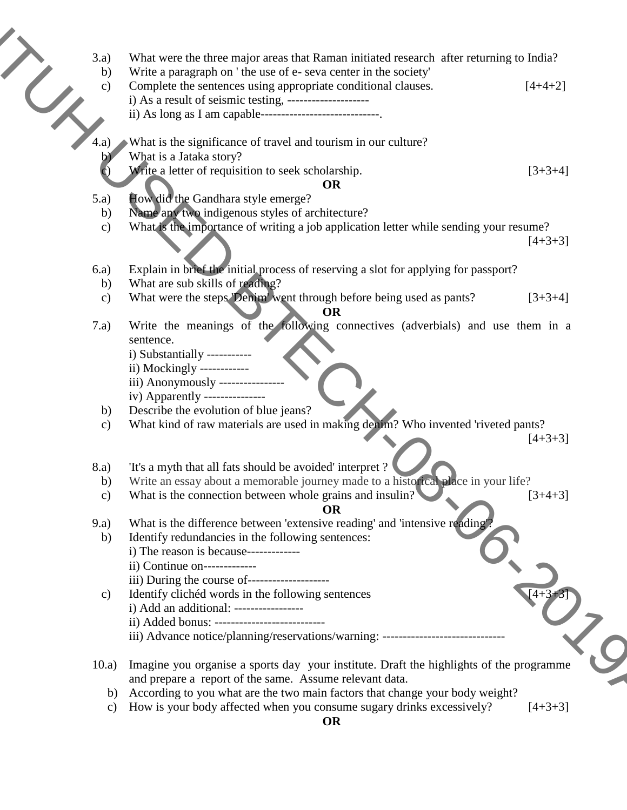- - b) Write a paragraph on ' the use of e- seva center in the society'
- 3.a) What were the three major areas that Raman initiated research after returning to India?<br>
b) Write a paragraph on 'the use of e- seva center in the society'<br>
c) Complete the sentences using appropriate conditional cla c) Complete the sentences using appropriate conditional clauses.  $[4+4+2]$ i) As a result of seismic testing, -------------------- **The main of the control of the control of the control of the extreme in the control of the control of the control of the control of the control of the control of the control of the control of the control of the control o** 
	- ii) As long as I am capable-----------------------------.
	- 4.a) What is the significance of travel and tourism in our culture?
		- b) What is a Jataka story?
			- Write a letter of requisition to seek scholarship.  $[3+3+4]$

#### **OR**

- 5.a) How did the Gandhara style emerge?
- b) Name any two indigenous styles of architecture?
- c) What is the importance of writing a job application letter while sending your resume?

 $[4+3+3]$ 

- 6.a) Explain in brief the initial process of reserving a slot for applying for passport?
	- b) What are sub skills of reading?
	- c) What were the steps 'Denim' went through before being used as pants? [3+3+4]

**OR**

- 7.a) Write the meanings of the following connectives (adverbials) and use them in a sentence.
	- i) Substantially -----------
	- ii) Mockingly ------------
	- iii) Anonymously ----------------
	- iv) Apparently ---------------
	- b) Describe the evolution of blue jeans?
	- c) What kind of raw materials are used in making denim? Who invented 'riveted pants?

 $[4+3+3]$ 

- 8.a) It's a myth that all fats should be avoided' interpret ?
	- b) Write an essay about a memorable journey made to a historical place in your life?
	- c) What is the connection between whole grains and insulin?  $[3+4+3]$

# **OR**

- 9.a) What is the difference between 'extensive reading' and 'intensive reading'
	- b) Identify redundancies in the following sentences: i) The reason is because------------
		- ii) Continue on-------------
		- iii) During the course of--------------------
	- c) Identify clichéd words in the following sentences i) Add an additional: ----------------
		- ii) Added bonus: ---------------------------
		- iii) Advance notice/planning/reservations/warning: ------------------------------
- 10.a) Imagine you organise a sports day your institute. Draft the highlights of the programme and prepare a report of the same. Assume relevant data.
	- b) According to you what are the two main factors that change your body weight?
	- c) How is your body affected when you consume sugary drinks excessively?  $[4+3+3]$